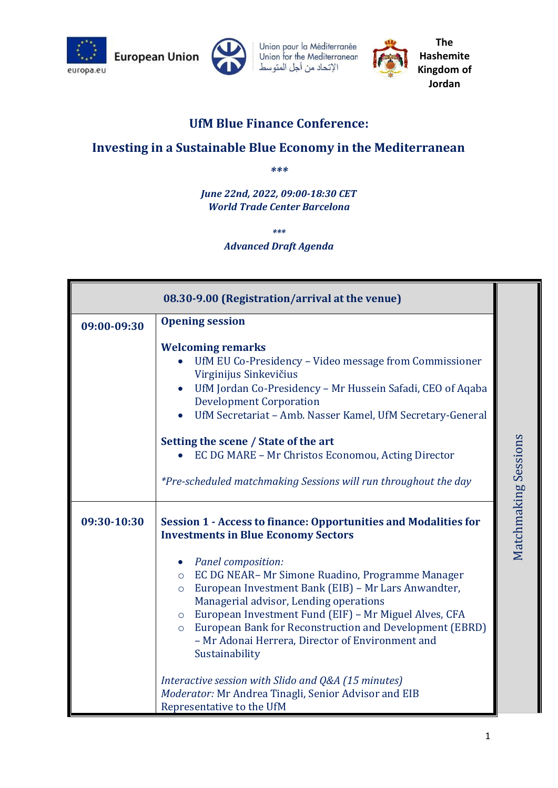



Union pour la Méditerranée Union for the Mediterranean الإتحاد من أجل المتوسط



**The Hashemite Kingdom of Jordan**

## **UfM Blue Finance Conference:**

## **Investing in a Sustainable Blue Economy in the Mediterranean**

*\*\*\**

*June 22nd, 2022, 09:00-18:30 CET World Trade Center Barcelona*

*\*\*\**

## *Advanced Draft Agenda*

|             | 08.30-9.00 (Registration/arrival at the venue)                                                                                                                                                                                                                                                                                                                                                                            |                      |
|-------------|---------------------------------------------------------------------------------------------------------------------------------------------------------------------------------------------------------------------------------------------------------------------------------------------------------------------------------------------------------------------------------------------------------------------------|----------------------|
| 09:00-09:30 | <b>Opening session</b>                                                                                                                                                                                                                                                                                                                                                                                                    |                      |
|             | <b>Welcoming remarks</b><br>UfM EU Co-Presidency - Video message from Commissioner<br>Virginijus Sinkevičius<br>UfM Jordan Co-Presidency - Mr Hussein Safadi, CEO of Aqaba<br>$\bullet$<br><b>Development Corporation</b><br>UfM Secretariat - Amb. Nasser Kamel, UfM Secretary-General                                                                                                                                   |                      |
|             | Setting the scene / State of the art                                                                                                                                                                                                                                                                                                                                                                                      |                      |
|             | EC DG MARE - Mr Christos Economou, Acting Director                                                                                                                                                                                                                                                                                                                                                                        |                      |
|             | *Pre-scheduled matchmaking Sessions will run throughout the day                                                                                                                                                                                                                                                                                                                                                           |                      |
| 09:30-10:30 | <b>Session 1 - Access to finance: Opportunities and Modalities for</b><br><b>Investments in Blue Economy Sectors</b>                                                                                                                                                                                                                                                                                                      | Matchmaking Sessions |
|             | Panel composition:<br>$\bullet$<br>EC DG NEAR-Mr Simone Ruadino, Programme Manager<br>$\circ$<br>European Investment Bank (EIB) - Mr Lars Anwandter,<br>$\circ$<br>Managerial advisor, Lending operations<br>European Investment Fund (EIF) - Mr Miguel Alves, CFA<br>$\circ$<br>European Bank for Reconstruction and Development (EBRD)<br>$\circ$<br>- Mr Adonai Herrera, Director of Environment and<br>Sustainability |                      |
|             | Interactive session with Slido and Q&A (15 minutes)<br>Moderator: Mr Andrea Tinagli, Senior Advisor and EIB<br>Representative to the UfM                                                                                                                                                                                                                                                                                  |                      |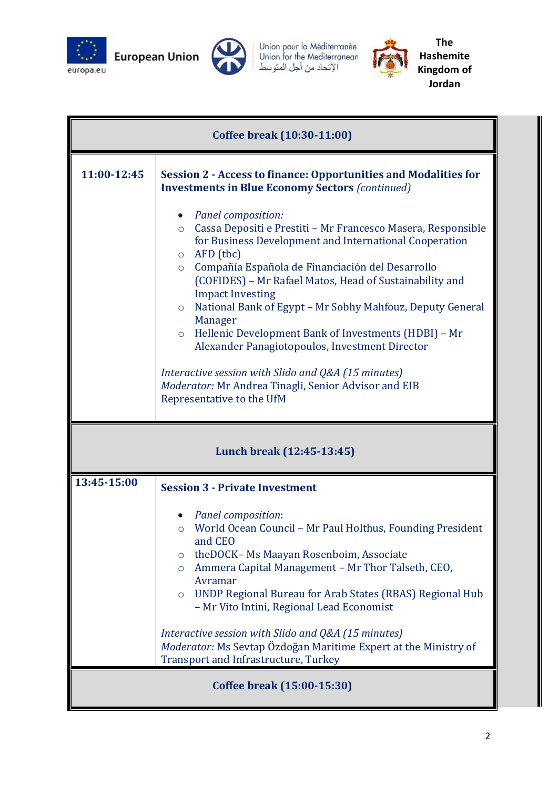

**European Union** 



Union pour la Méditerranée<br>Union for the Mediterranean<br>الإتحاد من أجل المتوسط



**The Hashemite Kingdom of Jordan**

| Coffee break (10:30-11:00) |                                                                                                                                                                                                                                                                                                                                                                                                                                                                                                                                                                                                                                                                                                                                                                                                                                                  |  |
|----------------------------|--------------------------------------------------------------------------------------------------------------------------------------------------------------------------------------------------------------------------------------------------------------------------------------------------------------------------------------------------------------------------------------------------------------------------------------------------------------------------------------------------------------------------------------------------------------------------------------------------------------------------------------------------------------------------------------------------------------------------------------------------------------------------------------------------------------------------------------------------|--|
| 11:00-12:45                | <b>Session 2 - Access to finance: Opportunities and Modalities for</b><br><b>Investments in Blue Economy Sectors (continued)</b><br><b>Panel composition:</b><br>$\bullet$<br>Cassa Depositi e Prestiti - Mr Francesco Masera, Responsible<br>$\circ$<br>for Business Development and International Cooperation<br>AFD (tbc)<br>$\circ$<br>Compañía Española de Financiación del Desarrollo<br>$\circ$<br>(COFIDES) - Mr Rafael Matos, Head of Sustainability and<br><b>Impact Investing</b><br>National Bank of Egypt - Mr Sobhy Mahfouz, Deputy General<br>$\circ$<br>Manager<br>Hellenic Development Bank of Investments (HDBI) - Mr<br>$\circ$<br>Alexander Panagiotopoulos, Investment Director<br>Interactive session with Slido and Q&A (15 minutes)<br>Moderator: Mr Andrea Tinagli, Senior Advisor and EIB<br>Representative to the UfM |  |
| Lunch break (12:45-13:45)  |                                                                                                                                                                                                                                                                                                                                                                                                                                                                                                                                                                                                                                                                                                                                                                                                                                                  |  |
| 13:45-15:00                | <b>Session 3 - Private Investment</b><br>Panel composition:<br>$\bullet$<br>World Ocean Council - Mr Paul Holthus, Founding President<br>$\circ$<br>and CEO<br>the DOCK- Ms Maayan Rosenboim, Associate<br>Ammera Capital Management - Mr Thor Talseth, CEO,<br>$\circ$<br>Avramar<br>UNDP Regional Bureau for Arab States (RBAS) Regional Hub<br>$\circ$<br>- Mr Vito Intini, Regional Lead Economist<br>Interactive session with Slido and Q&A (15 minutes)<br>Moderator: Ms Sevtap Özdoğan Maritime Expert at the Ministry of<br><b>Transport and Infrastructure, Turkey</b>                                                                                                                                                                                                                                                                  |  |
| Coffee break (15:00-15:30) |                                                                                                                                                                                                                                                                                                                                                                                                                                                                                                                                                                                                                                                                                                                                                                                                                                                  |  |